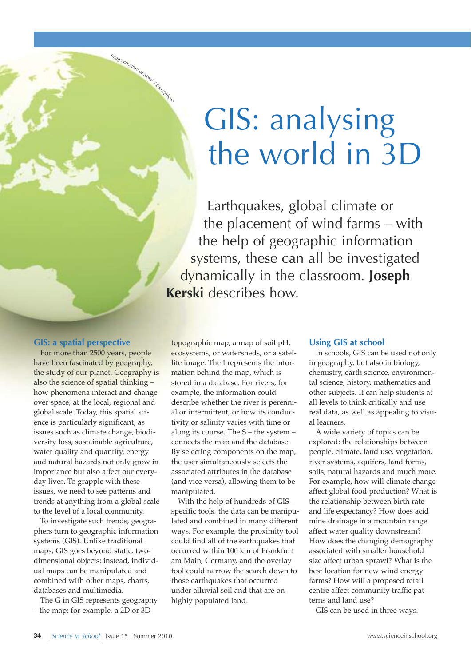# GIS: analysing the world in 3D

Earthquakes, global climate or the placement of wind farms – with the help of geographic information systems, these can all be investigated dynamically in the classroom. **Joseph kerski** describes how.

## **GIS: a spatial perspective**

Image countery of allew / Stackbot

For more than 2500 years, people have been fascinated by geography, the study of our planet. Geography is also the science of spatial thinking – how phenomena interact and change over space, at the local, regional and global scale. Today, this spatial science is particularly significant, as issues such as climate change, biodiversity loss, sustainable agriculture, water quality and quantity, energy and natural hazards not only grow in importance but also affect our everyday lives. To grapple with these issues, we need to see patterns and trends at anything from a global scale to the level of a local community.

To investigate such trends, geographers turn to geographic information systems (GIS). Unlike traditional maps, GIS goes beyond static, twodimensional objects: instead, individual maps can be manipulated and combined with other maps, charts, databases and multimedia.

The G in GIS represents geography – the map: for example, a 2D or 3D

topographic map, a map of soil pH, ecosystems, or watersheds, or a satellite image. The I represents the information behind the map, which is stored in a database. For rivers, for example, the information could describe whether the river is perennial or intermittent, or how its conductivity or salinity varies with time or along its course. The S – the system – connects the map and the database. By selecting components on the map, the user simultaneously selects the associated attributes in the database (and vice versa), allowing them to be manipulated.

With the help of hundreds of GISspecific tools, the data can be manipulated and combined in many different ways. For example, the proximity tool could find all of the earthquakes that occurred within 100 km of Frankfurt am Main, Germany, and the overlay tool could narrow the search down to those earthquakes that occurred under alluvial soil and that are on highly populated land.

## **Using GIS at school**

In schools, GIS can be used not only in geography, but also in biology, chemistry, earth science, environmental science, history, mathematics and other subjects. It can help students at all levels to think critically and use real data, as well as appealing to visual learners.

A wide variety of topics can be explored: the relationships between people, climate, land use, vegetation, river systems, aquifers, land forms, soils, natural hazards and much more. For example, how will climate change affect global food production? What is the relationship between birth rate and life expectancy? How does acid mine drainage in a mountain range affect water quality downstream? How does the changing demography associated with smaller household size affect urban sprawl? What is the best location for new wind energy farms? How will a proposed retail centre affect community traffic patterns and land use?

GIS can be used in three ways.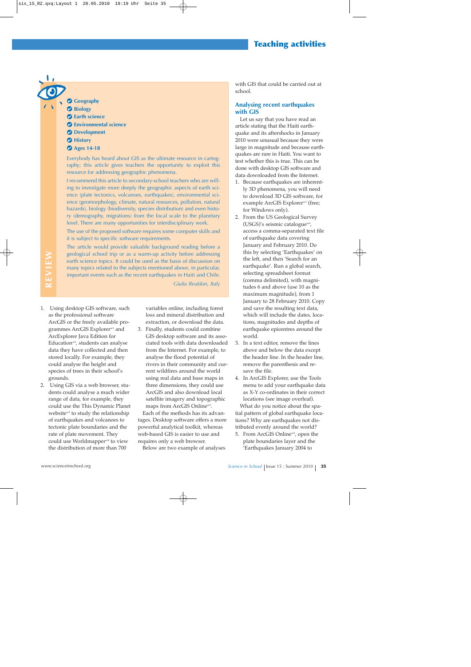## **Teaching activities**

## *Geography*

- **Biology**
- **Earth science**
- **Environmental science**
- **Development**
- *Mistory*
- **Ages 14-18**

Everybody has heard about GIS as the ultimate resource in cartography; this article gives teachers the opportunity to exploit this resource for addressing geographic phenomena.

I recommend this article to secondary-school teachers who are willing to investigate more deeply the geographic aspects of earth science (plate tectonics, volcanoes, earthquakes), environmental science (geomorphology, climate, natural resources, pollution, natural hazards), biology (biodiversity, species distribution) and even history (demography, migrations) from the local scale to the planetary level. There are many opportunities for interdisciplinary work.

The use of the proposed software requires some computer skills and it is subject to specific software requirements.

The article would provide valuable background reading before a geological school trip or as a warm-up activity before addressing earth science topics. It could be used as the basis of discussion on many topics related to the subjects mentioned above, in particular, important events such as the recent earthquakes in Haiti and Chile. *Giulia Realdon, Italy*

**REVIEW**

REVIEW

- 1. Using desktop GIS software, such as the professional software ArcGIS or the freely available programmes ArcGIS Explorerw1 and ArcExplorer Java Edition for Education<sup>w2</sup>, students can analyse data they have collected and then stored locally. For example, they could analyse the height and species of trees in their school's grounds.
- 2. Using GIS via a web browser, students could analyse a much wider range of data, for example, they could use the This Dynamic Planet website<sup>w3</sup> to study the relationship of earthquakes and volcanoes to tectonic plate boundaries and the rate of plate movement. They could use Worldmapper<sup>w4</sup> to view the distribution of more than 700

variables online, including forest loss and mineral distribution and extraction, or download the data.

3. Finally, students could combine GIS desktop software and its associated tools with data downloaded from the Internet. For example, to analyse the flood potential of rivers in their community and current wildfires around the world using real data and base maps in three dimensions, they could use ArcGIS and also download local satellite imagery and topographic maps from ArcGIS Online<sup>w5</sup>.

Each of the methods has its advantages. Desktop software offers a more powerful analytical toolkit, whereas web-based GIS is easier to use and requires only a web browser.

Below are two example of analyses

with GIS that could be carried out at school.

## **Analysing recent earthquakes with GIS**

Let us say that you have read an article stating that the Haiti earthquake and its aftershocks in January 2010 were unusual because they were large in magnitude and because earthquakes are rare in Haiti. You want to test whether this is true. This can be done with desktop GIS software and data downloaded from the Internet.

- 1. Because earthquakes are inherently 3D phenomena, you will need to download 3D GIS software, for example ArcGIS Explorer<sup>w1</sup> (free; for Windows only).
- 2. From the US Geological Survey (USGS)'s seismic catalogue<sup>w6</sup>, access a comma-separated text file of earthquake data covering January and February 2010. Do this by selecting 'Earthquakes' on the left, and then 'Search for an earthquake'. Run a global search, selecting spreadsheet format (comma delimited), with magnitudes 6 and above (use 10 as the maximum magnitude), from 1 January to 28 February 2010. Copy and save the resulting text data, which will include the dates, locations, magnitudes and depths of earthquake epicentres around the world.
- 3. In a text editor, remove the lines above and below the data except the header line. In the header line, remove the parenthesis and resave the file.
- 4. In ArcGIS Explorer, use the Tools menu to add your earthquake data as X-Y co-ordinates in their correct locations (see image overleaf).

What do you notice about the spatial pattern of global earthquake locations? Why are earthquakes not distributed evenly around the world?

5. From ArcGIS Online<sup>w5</sup>, open the plate boundaries layer and the 'Earthquakes January 2004 to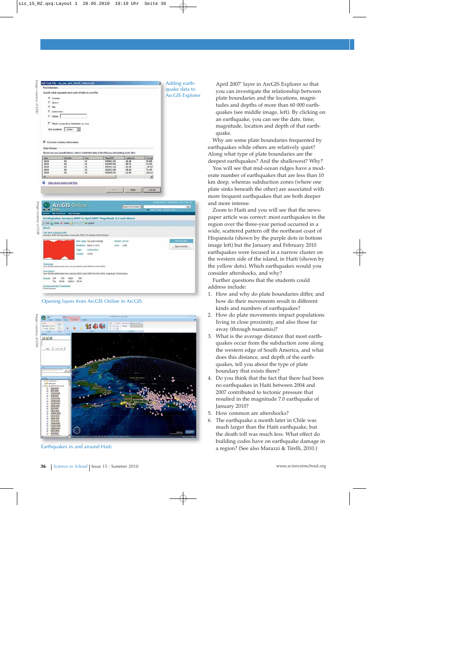| Add Text File - eq. jan_and_feb10_Sabove.tx<br><b>File Delimiters</b> |                                                                                                                                                     |                                                                                                        |                                                                                                |                                           |                   |                        |
|-----------------------------------------------------------------------|-----------------------------------------------------------------------------------------------------------------------------------------------------|--------------------------------------------------------------------------------------------------------|------------------------------------------------------------------------------------------------|-------------------------------------------|-------------------|------------------------|
|                                                                       | Specify what separates each unit of data in your file.                                                                                              |                                                                                                        |                                                                                                |                                           |                   | quake data to          |
|                                                                       |                                                                                                                                                     |                                                                                                        |                                                                                                |                                           |                   | <b>ArcGIS Explorer</b> |
| G Contra                                                              |                                                                                                                                                     |                                                                                                        |                                                                                                |                                           |                   |                        |
| C Space<br>$C$ Tab                                                    |                                                                                                                                                     |                                                                                                        |                                                                                                |                                           |                   |                        |
| C Semicology                                                          |                                                                                                                                                     |                                                                                                        |                                                                                                |                                           |                   |                        |
|                                                                       |                                                                                                                                                     |                                                                                                        |                                                                                                |                                           |                   |                        |
| $C$ one $\vert$                                                       |                                                                                                                                                     |                                                                                                        |                                                                                                |                                           |                   |                        |
|                                                                       | Theat consecutive delimiters as one                                                                                                                 |                                                                                                        |                                                                                                |                                           |                   |                        |
|                                                                       | Ted qualifier: conne-                                                                                                                               | Ξ                                                                                                      |                                                                                                |                                           |                   |                        |
|                                                                       |                                                                                                                                                     |                                                                                                        |                                                                                                |                                           |                   |                        |
|                                                                       |                                                                                                                                                     |                                                                                                        |                                                                                                |                                           |                   |                        |
|                                                                       | P. Fast line contains field names                                                                                                                   |                                                                                                        |                                                                                                |                                           |                   |                        |
| <b>Data Presien</b>                                                   |                                                                                                                                                     |                                                                                                        |                                                                                                |                                           |                   |                        |
|                                                                       |                                                                                                                                                     |                                                                                                        | Based on your specifications, here is what the data in the file you are adding looks like:     |                                           |                   |                        |
| Text                                                                  | <b>SEGGES</b>                                                                                                                                       | Day                                                                                                    | TimeUTC                                                                                        | Listende                                  | Longit            |                        |
| 2018                                                                  | 11                                                                                                                                                  | #1                                                                                                     | 020821.91                                                                                      | 26.29                                     | 99.88             |                        |
| 2018<br>2018                                                          | $\mathbf{u}$<br>$\mathbf{u}$                                                                                                                        | m<br>m                                                                                                 | 023456.85<br>093711.44                                                                         | 40.73<br>42.40                            | 51.92<br>$-36.43$ |                        |
| 2010                                                                  | ŧi                                                                                                                                                  | $\mathbf{R}$                                                                                           | 021512.09                                                                                      | 38.24                                     | 71.47             |                        |
| 2010                                                                  | 41                                                                                                                                                  | $\overline{a}$                                                                                         | 052056.35                                                                                      | 12.40                                     | 142.16            |                        |
| ۰۱                                                                    |                                                                                                                                                     |                                                                                                        |                                                                                                |                                           | ×                 |                        |
|                                                                       | Help about adding text files                                                                                                                        |                                                                                                        |                                                                                                |                                           |                   |                        |
| <b>IETA</b>                                                           | <b>ArcGIS Online</b><br>My Costent My Croups                                                                                                        |                                                                                                        | Earthquakes January 2004 to April 2007 Magnitude 3.5 and Above                                 | <b>Search for Contare #31</b>             |                   | 66                     |
| The lines is shared arm                                               | Everythe, EDRI DIS Education Community, \$344 T36 Institute, \$346 Editions<br>ar 82.000 earthquakes from January 2014 to April 2007 from the USCE. | hem Type: Q Law/Paddek<br><b>Buddhell</b> , New 3,2012<br>Tage<br><b>SATISFACE</b><br>UBER<br>Condite: |                                                                                                | <b>Danier:</b> provide<br><b>Max: 238</b> |                   | Down in Historia       |
|                                                                       |                                                                                                                                                     |                                                                                                        |                                                                                                |                                           |                   |                        |
|                                                                       |                                                                                                                                                     |                                                                                                        | Der 66.000 auftrausien from January 2004 to April 2007 trom the UDDE, magnitude 3.8 and obové. |                                           |                   |                        |
| Let<br>Extent<br>Tag                                                  | $-188$ Rps<br>9531 Schee 4834                                                                                                                       | $-188$                                                                                                 |                                                                                                |                                           |                   |                        |
|                                                                       | Assess and the Countwires:                                                                                                                          |                                                                                                        |                                                                                                |                                           |                   |                        |
|                                                                       |                                                                                                                                                     |                                                                                                        |                                                                                                |                                           |                   |                        |
|                                                                       |                                                                                                                                                     |                                                                                                        | Opening layers from ArcGIS Online in ArcGIS                                                    |                                           |                   |                        |
|                                                                       |                                                                                                                                                     |                                                                                                        |                                                                                                |                                           |                   |                        |
| Public Daman                                                          |                                                                                                                                                     |                                                                                                        |                                                                                                |                                           |                   |                        |
|                                                                       |                                                                                                                                                     |                                                                                                        |                                                                                                |                                           |                   |                        |
| <b>Well Lives</b>                                                     |                                                                                                                                                     |                                                                                                        |                                                                                                |                                           |                   |                        |
| $\rightarrow$ 20 km                                                   |                                                                                                                                                     |                                                                                                        | <b>MODE:</b>                                                                                   |                                           |                   |                        |

Opening layers from ArcGIS Online in ArcGIS



Earthquakes in and around Haiti

April 2007' layer in ArcGIS Explorer so that you can investigate the relationship between plate boundaries and the locations, magnitudes and depths of more than 60 000 earthquakes (see middle image, left). By clicking on an earthquake, you can see the date, time, magnitude, location and depth of that earthquake.

Why are some plate boundaries frequented by earthquakes while others are relatively quiet? Along what type of plate boundaries are the deepest earthquakes? And the shallowest? Why?

You will see that mid-ocean ridges have a moderate number of earthquakes that are less than 10 km deep, whereas subduction zones (where one plate sinks beneath the other) are associated with more frequent earthquakes that are both deeper and more intense.

Zoom to Haiti and you will see that the newspaper article was correct: most earthquakes in the region over the three-year period occurred in a wide, scattered pattern off the northeast coast of Hispaniola (shown by the purple dots in bottom image left) but the January and February 2010 earthquakes were focused in a narrow cluster on the western side of the island, in Haiti (shown by the yellow dots). Which earthquakes would you consider aftershocks, and why?

Further questions that the students could address include:

- 1. How and why do plate boundaries differ, and how do their movements result in different kinds and numbers of earthquakes?
- 2. How do plate movements impact populations living in close proximity, and also those far away (through tsunamis)?
- 3. What is the average distance that most earthquakes occur from the subduction zone along the western edge of South America, and what does this distance, and depth of the earthquakes, tell you about the type of plate boundary that exists there?
- 4. Do you think that the fact that there had been no earthquakes in Haiti between 2004 and 2007 contributed to tectonic pressure that resulted in the magnitude 7.0 earthquake of January 2010?
- 5. How common are aftershocks?
- 6. The earthquake a month later in Chile was much larger than the Haiti earthquake, but the death toll was much less. What effect do building codes have on earthquake damage in a region? (See also Marazzi & Tirelli, 2010.)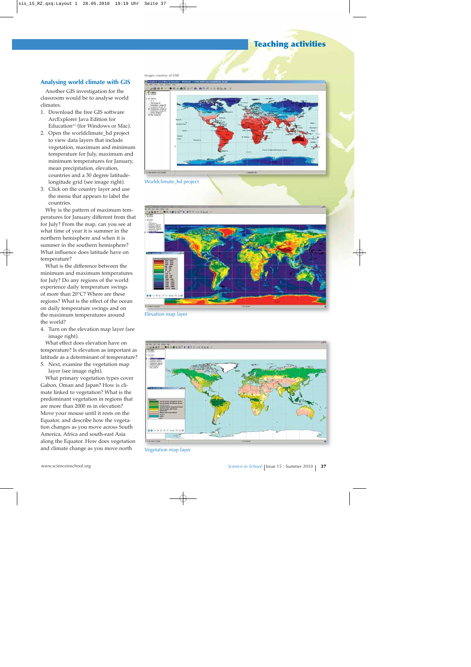## **Teaching activities**

## **Analysing world climate with GIS**

Another GIS investigation for the classroom would be to analyse world climates.

- 1. Download the free GIS software ArcExplorer Java Edition for Education<sup>w2</sup> (for Windows or Mac).
- 2. Open the worldclimate\_hd project to view data layers that include vegetation, maximum and minimum temperature for July, maximum and minimum temperatures for January, mean precipitation, elevation, countries and a 30 degree latitudelongitude grid (see image right).
- 3. Click on the country layer and use the menu that appears to label the countries.

Why is the pattern of maximum temperatures for January different from that for July? From the map, can you see at what time of year it is summer in the northern hemisphere and when it is summer in the southern hemisphere? What influence does latitude have on temperature?

What is the difference between the minimum and maximum temperatures for July? Do any regions of the world experience daily temperature swings of more than 20°C? Where are these regions? What is the effect of the ocean on daily temperature swings and on the maximum temperatures around the world?

4. Turn on the elevation map layer (see image right).

What effect does elevation have on temperature? Is elevation as important as latitude as a determinant of temperature? 5. Next, examine the vegetation map

layer (see image right).

What primary vegetation types cover Gabon, Oman and Japan? How is climate linked to vegetation? What is the predominant vegetation in regions that are more than 2000 m in elevation? Move your mouse until it rests on the Equator, and describe how the vegetation changes as you move across South America, Africa and south-east Asia along the Equator. How does vegetation and climate change as you move north

*Images courtesy of ESRI*



Worldclimate\_hd project



Elevation map layer



Vegetation map layer